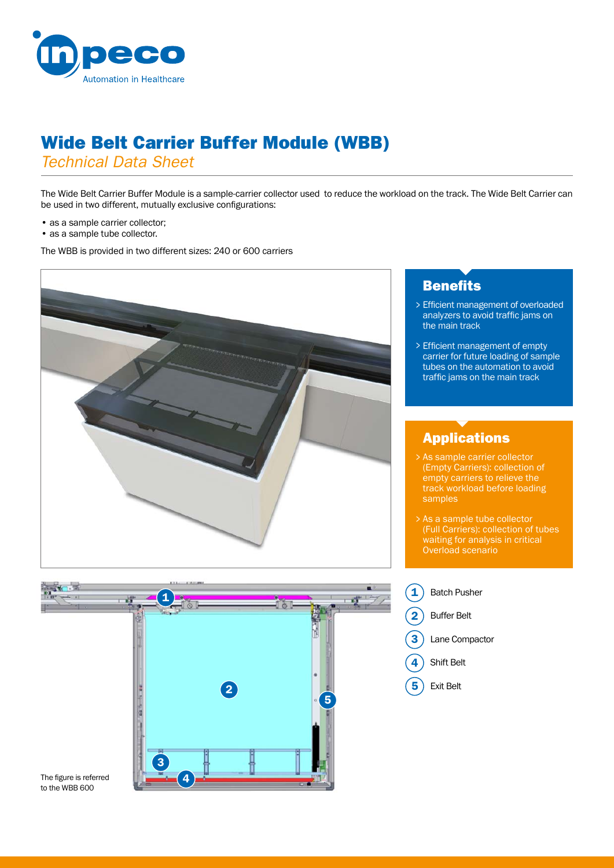

# Wide Belt Carrier Buffer Module (WBB)

*Technical Data Sheet*

The Wide Belt Carrier Buffer Module is a sample-carrier collector used to reduce the workload on the track. The Wide Belt Carrier can be used in two different, mutually exclusive configurations:

- as a sample carrier collector;
- as a sample tube collector.

The WBB is provided in two different sizes: 240 or 600 carriers





## **Benefits**

- Efficient management of overloaded > analyzers to avoid traffic jams on the main track
- Efficient management of empty > carrier for future loading of sample tubes on the automation to avoid traffic jams on the main track

# Applications

- As sample carrier collector > (Empty Carriers): collection of empty carriers to relieve the track workload before loading samples
- As a sample tube collector > (Full Carriers): collection of tubes waiting for analysis in critical Overload scenario